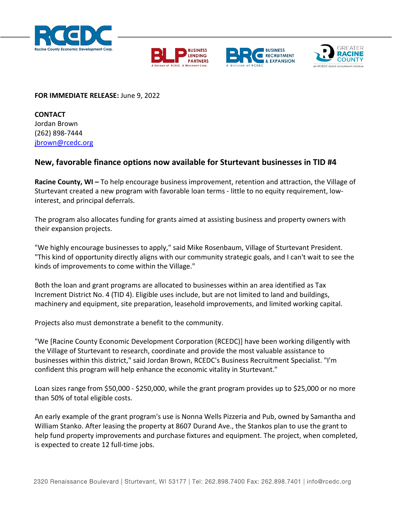







## **FOR IMMEDIATE RELEASE:** June 9, 2022

**CONTACT** Jordan Brown (262) 898-7444 [jbrown@rcedc.org](mailto:jbrown@rcedc.org)

## **New, favorable finance options now available for Sturtevant businesses in TID #4**

**Racine County, WI –** To help encourage business improvement, retention and attraction, the Village of Sturtevant created a new program with favorable loan terms - little to no equity requirement, lowinterest, and principal deferrals.

The program also allocates funding for grants aimed at assisting business and property owners with their expansion projects.

"We highly encourage businesses to apply," said Mike Rosenbaum, Village of Sturtevant President. "This kind of opportunity directly aligns with our community strategic goals, and I can't wait to see the kinds of improvements to come within the Village."

Both the loan and grant programs are allocated to businesses within an area identified as Tax Increment District No. 4 (TID 4). Eligible uses include, but are not limited to land and buildings, machinery and equipment, site preparation, leasehold improvements, and limited working capital.

Projects also must demonstrate a benefit to the community.

"We [Racine County Economic Development Corporation (RCEDC)] have been working diligently with the Village of Sturtevant to research, coordinate and provide the most valuable assistance to businesses within this district," said Jordan Brown, RCEDC's Business Recruitment Specialist. "I'm confident this program will help enhance the economic vitality in Sturtevant."

Loan sizes range from \$50,000 - \$250,000, while the grant program provides up to \$25,000 or no more than 50% of total eligible costs.

An early example of the grant program's use is Nonna Wells Pizzeria and Pub, owned by Samantha and William Stanko. After leasing the property at 8607 Durand Ave., the Stankos plan to use the grant to help fund property improvements and purchase fixtures and equipment. The project, when completed, is expected to create 12 full-time jobs.